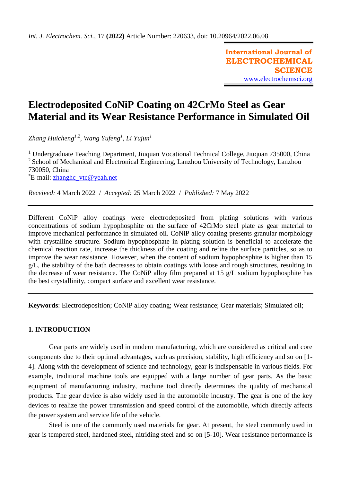**International Journal of ELECTROCHEMICAL SCIENCE** [www.electrochemsci.org](http://www.electrochemsci.org/)

# **Electrodeposited CoNiP Coating on 42CrMo Steel as Gear Material and its Wear Resistance Performance in Simulated Oil**

*Zhang Huicheng1,2 , Wang Yufeng<sup>1</sup> , Li Yujun<sup>1</sup>*

<sup>1</sup> Undergraduate Teaching Department, Jiuquan Vocational Technical College, Jiuquan 735000, China <sup>2</sup> School of Mechanical and Electronical Engineering, Lanzhou University of Technology, Lanzhou 730050, China \*E-mail: [zhanghc\\_vtc@yeah.net](mailto:zhanghc_vtc@yeah.net)

*Received:* 4 March 2022/ *Accepted:* 25 March 2022 / *Published:* 7 May 2022

Different CoNiP alloy coatings were electrodeposited from plating solutions with various concentrations of sodium hypophosphite on the surface of 42CrMo steel plate as gear material to improve mechanical performance in simulated oil. CoNiP alloy coating presents granular morphology with crystalline structure. Sodium hypophosphate in plating solution is beneficial to accelerate the chemical reaction rate, increase the thickness of the coating and refine the surface particles, so as to improve the wear resistance. However, when the content of sodium hypophosphite is higher than 15 g/L, the stability of the bath decreases to obtain coatings with loose and rough structures, resulting in the decrease of wear resistance. The CoNiP alloy film prepared at 15 g/L sodium hypophosphite has the best crystallinity, compact surface and excellent wear resistance.

**Keywords**: Electrodeposition; CoNiP alloy coating; Wear resistance; Gear materials; Simulated oil;

## **1. INTRODUCTION**

Gear parts are widely used in modern manufacturing, which are considered as critical and core components due to their optimal advantages, such as precision, stability, high efficiency and so on [1- 4]. Along with the development of science and technology, gear is indispensable in various fields. For example, traditional machine tools are equipped with a large number of gear parts. As the basic equipment of manufacturing industry, machine tool directly determines the quality of mechanical products. The gear device is also widely used in the automobile industry. The gear is one of the key devices to realize the power transmission and speed control of the automobile, which directly affects the power system and service life of the vehicle.

Steel is one of the commonly used materials for gear. At present, the steel commonly used in gear is tempered steel, hardened steel, nitriding steel and so on [5-10]. Wear resistance performance is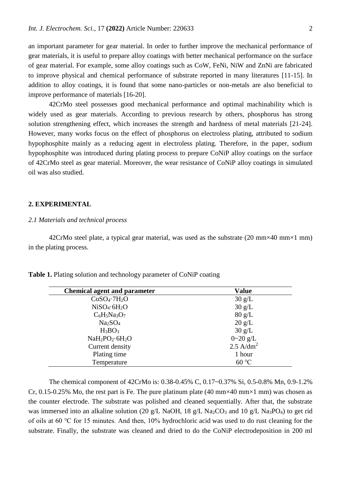an important parameter for gear material. In order to further improve the mechanical performance of gear materials, it is useful to prepare alloy coatings with better mechanical performance on the surface of gear material. For example, some alloy coatings such as CoW, FeNi, NiW and ZnNi are fabricated to improve physical and chemical performance of substrate reported in many literatures [11-15]. In addition to alloy coatings, it is found that some nano-particles or non-metals are also beneficial to improve performance of materials [16-20].

42CrMo steel possesses good mechanical performance and optimal machinability which is widely used as gear materials. According to previous research by others, phosphorus has strong solution strengthening effect, which increases the strength and hardness of metal materials [21-24]. However, many works focus on the effect of phosphorus on electroless plating, attributed to sodium hypophosphite mainly as a reducing agent in electroless plating. Therefore, in the paper, sodium hypophosphite was introduced during plating process to prepare CoNiP alloy coatings on the surface of 42CrMo steel as gear material. Moreover, the wear resistance of CoNiP alloy coatings in simulated oil was also studied.

## **2. EXPERIMENTAL**

#### *2.1 Materials and technical process*

42CrMo steel plate, a typical gear material, was used as the substrate  $(20 \text{ mm} \times 40 \text{ mm} \times 1 \text{ mm})$ in the plating process.

| <b>Chemical agent and parameter</b>  | Value            |
|--------------------------------------|------------------|
| CoSO <sub>4</sub> ·7H <sub>2</sub> O | $30 \text{ g/L}$ |
| $NiSO_4.6H_2O$                       | 30 g/L           |
| $C_6H_5Na_3O_7$                      | $80 \text{ g/L}$ |
| Na <sub>2</sub> SO <sub>4</sub>      | $20 \text{ g/L}$ |
| $H_3BO_3$                            | $30 \text{ g/L}$ |
| $NaH_2PO_2·6H_2O$                    | $0 - 20$ g/L     |

**Table 1.** Plating solution and technology parameter of CoNiP coating

Current density Plating time Temperature

The chemical component of 42CrMo is: 0.38-0.45% C, 0.17~0.37% Si, 0.5-0.8% Mn, 0.9-1.2% Cr, 0.15-0.25% Mo, the rest part is Fe. The pure platinum plate (40 mm $\times$ 40 mm $\times$ 1 mm) was chosen as the counter electrode. The substrate was polished and cleaned sequentially. After that, the substrate was immersed into an alkaline solution (20 g/L NaOH, 18 g/L Na<sub>2</sub>CO<sub>3</sub> and 10 g/L Na<sub>3</sub>PO<sub>4</sub>) to get rid of oils at 60 ℃ for 15 minutes. And then, 10% [hydrochloric](file:///D:/Program%20Files/Dict/7.5.2.0/resultui/dict/) [acid](file:///D:/Program%20Files/Dict/7.5.2.0/resultui/dict/) was used to do rust cleaning for the substrate. Finally, the substrate was cleaned and dried to do the CoNiP electrodeposition in 200 ml

 $2.5$  A/dm<sup>2</sup> 1 hour 60 ℃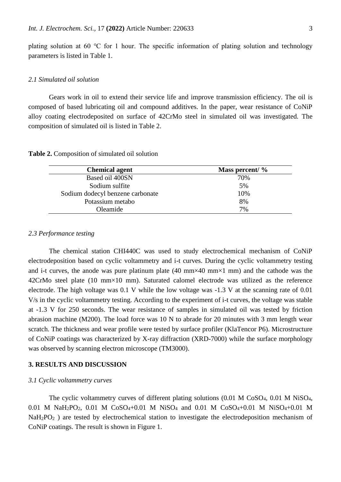plating solution at 60 ℃ for 1 hour. The specific information of plating solution and technology parameters is listed in Table 1.

## *2.1 Simulated oil solution*

Gears work in oil to extend their service life and improve transmission efficiency. The oil is composed of based lubricating oil and compound additives. In the paper, wear resistance of CoNiP alloy coating electrodeposited on surface of 42CrMo steel in simulated oil was investigated. The composition of simulated oil is listed in Table 2.

**Table 2.** Composition of simulated oil solution

| <b>Chemical agent</b>            | Mass percent/ $\%$ |
|----------------------------------|--------------------|
| Based oil 400SN                  | 70%                |
| Sodium sulfite                   | 5%                 |
| Sodium dodecyl benzene carbonate | 10%                |
| Potassium metabo                 | 8%                 |
| Oleamide                         | 7%                 |

## *2.3 Performance testing*

The chemical station CHI440C was used to study electrochemical mechanism of CoNiP electrodeposition based on cyclic voltammetry and i-t curves. During the cyclic voltammetry testing and i-t curves, the anode was pure platinum plate  $(40 \text{ mm} \times 40 \text{ mm} \times 1 \text{ mm})$  and the cathode was the 42CrMo steel plate (10 mm×10 mm). Saturated calomel electrode was utilized as the reference electrode. The high voltage was 0.1 V while the low voltage was -1.3 V at the scanning rate of 0.01 V/s in the cyclic voltammetry testing. According to the experiment of i-t curves, the voltage was stable at -1.3 V for 250 seconds. The wear resistance of samples in simulated oil was tested by friction abrasion machine (M200). The load force was 10 N to abrade for 20 minutes with 3 mm length wear scratch. The thickness and wear profile were tested by surface profiler (KlaTencor P6). Microstructure of CoNiP coatings was characterized by X-ray diffraction (XRD-7000) while the surface morphology was observed by scanning electron microscope (TM3000).

## **3. RESULTS AND DISCUSSION**

#### *3.1 Cyclic voltammetry curves*

The cyclic voltammetry curves of different plating solutions (0.01 M CoSO<sub>4</sub>, 0.01 M NiSO<sub>4</sub>, 0.01 M NaH2PO2, 0.01 M CoSO4+0.01 M NiSO<sup>4</sup> and 0.01 M CoSO4+0.01 M NiSO4+0.01 M NaH<sub>2</sub>PO<sub>2</sub>) are tested by electrochemical station to investigate the electrodeposition mechanism of CoNiP coatings. The result is shown in Figure 1.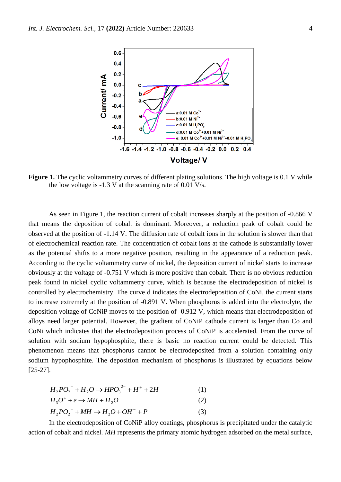

**Figure 1.** The cyclic voltammetry curves of different plating solutions. The high voltage is 0.1 V while the low voltage is -1.3 V at the scanning rate of 0.01 V/s.

As seen in Figure 1, the reaction current of cobalt increases sharply at the position of -0.866 V that means the deposition of cobalt is dominant. Moreover, a reduction peak of cobalt could be observed at the position of -1.14 V. The diffusion rate of cobalt ions in the solution is slower than that of electrochemical reaction rate. The concentration of cobalt ions at the cathode is substantially lower as the potential shifts to a more negative position, resulting in the appearance of a reduction peak. According to the cyclic voltammetry curve of nickel, the deposition current of nickel starts to increase obviously at the voltage of -0.751 V which is more positive than cobalt. There is no obvious reduction peak found in nickel cyclic voltammetry curve, which is because the electrodeposition of nickel is controlled by electrochemistry. The curve d indicates the electrodeposition of CoNi, the current starts to increase extremely at the position of -0.891 V. When phosphorus is added into the electrolyte, the deposition voltage of CoNiP moves to the position of -0.912 V, which means that electrodeposition of alloys need larger potential. However, the gradient of CoNiP cathode current is larger than Co and CoNi which indicates that the electrodeposition process of CoNiP is accelerated. From the curve of solution with sodium hypophosphite, there is basic no reaction current could be detected. This phenomenon means that phosphorus cannot be electrodeposited from a solution containing only sodium hypophosphite. The deposition mechanism of phosphorus is illustrated by equations below [25-27].

$$
H_2PO_2^- + H_2O \to HPO_3^{2-} + H^+ + 2H
$$
 (1)

$$
H_3O^+ + e \to MH + H_2O \tag{2}
$$

$$
H_2PO_2^- + MH \to H_2O + OH^- + P \tag{3}
$$

In the electrodeposition of CoNiP alloy coatings, phosphorus is precipitated under the catalytic action of cobalt and nickel. *MH* represents the primary atomic hydrogen adsorbed on the metal surface,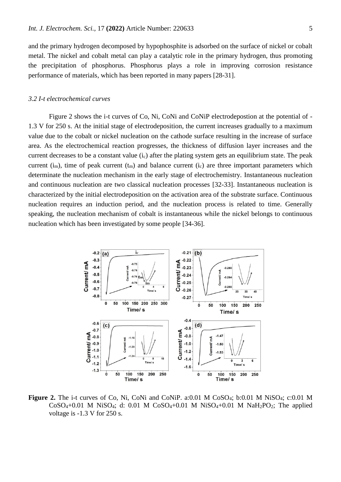and the primary hydrogen decomposed by hypophosphite is adsorbed on the surface of nickel or cobalt metal. The nickel and cobalt metal can play a catalytic role in the primary hydrogen, thus promoting the precipitation of phosphorus. Phosphorus plays a role in improving corrosion resistance performance of materials, which has been reported in many papers [28-31].

## *3.2 I-t electrochemical curves*

Figure 2 shows the i-t curves of Co, Ni, CoNi and CoNiP electrodepostion at the potential of - 1.3 V for 250 s. At the initial stage of electrodeposition, the current increases gradually to a maximum value due to the cobalt or nickel nucleation on the cathode surface resulting in the increase of surface area. As the electrochemical reaction progresses, the thickness of diffusion layer increases and the current decreases to be a constant value  $(i_c)$  after the plating system gets an equilibrium state. The peak current  $(i_m)$ , time of peak current  $(t_m)$  and balance current  $(i_c)$  are three important parameters which determinate the nucleation mechanism in the early stage of electrochemistry. Instantaneous nucleation and continuous nucleation are two classical nucleation processes [32-33]. Instantaneous nucleation is characterized by the initial electrodeposition on the activation area of the substrate surface. Continuous nucleation requires an induction period, and the nucleation process is related to time. Generally speaking, the nucleation mechanism of cobalt is instantaneous while the nickel belongs to continuous nucleation which has been investigated by some people [34-36].



Figure 2. The i-t curves of Co, Ni, CoNi and CoNiP. a:0.01 M CoSO<sub>4</sub>; b:0.01 M NiSO<sub>4</sub>; c:0.01 M  $CoSO_4+0.01$  M Ni $SO_4$ ; d: 0.01 M  $CoSO_4+0.01$  M Ni $SO_4+0.01$  M NaH<sub>2</sub>PO<sub>2</sub>; The applied voltage is -1.3 V for 250 s.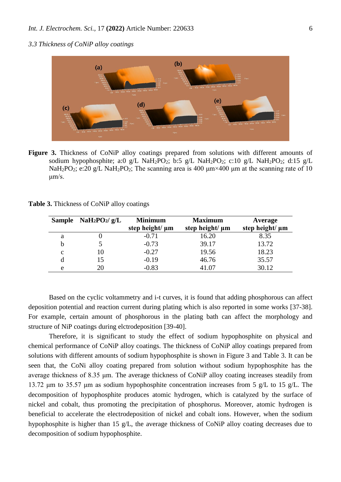*3.3 Thickness of CoNiP alloy coatings*



**Figure 3.** Thickness of CoNiP alloy coatings prepared from solutions with different amounts of sodium hypophosphite; a:0 g/L NaH<sub>2</sub>PO<sub>2</sub>; b:5 g/L NaH<sub>2</sub>PO<sub>2</sub>; c:10 g/L NaH<sub>2</sub>PO<sub>2</sub>; d:15 g/L NaH<sub>2</sub>PO<sub>2</sub>; e:20 g/L NaH<sub>2</sub>PO<sub>2</sub>; The scanning area is 400  $\mu$ m × 400  $\mu$ m at the scanning rate of 10  $\mu$ m/s.

| Table 3. Thickness of CoNiP alloy coatings |  |  |  |
|--------------------------------------------|--|--|--|
|--------------------------------------------|--|--|--|

|   | Sample NaH <sub>2</sub> PO <sub>2</sub> /g/L | <b>Minimum</b><br><b>Maximum</b> |                      | Average              |
|---|----------------------------------------------|----------------------------------|----------------------|----------------------|
|   |                                              | step height/ $\mu$ m             | step height/ $\mu$ m | step height/ $\mu$ m |
| a |                                              | $-0.71$                          | 16.20                | 8.35                 |
| h |                                              | $-0.73$                          | 39.17                | 13.72                |
| C |                                              | $-0.27$                          | 19.56                | 18.23                |
|   | 15                                           | $-0.19$                          | 46.76                | 35.57                |
| e | 20                                           | $-0.83$                          | 41.07                | 30.12                |

Based on the cyclic voltammetry and i-t curves, it is found that adding phosphorous can affect deposition potential and reaction current during plating which is also reported in some works [37-38]. For example, certain amount of phosphorous in the plating bath can affect the morphology and structure of NiP coatings during elctrodeposition [39-40].

Therefore, it is significant to study the effect of sodium hypophosphite on physical and chemical performance of CoNiP alloy coatings. The thickness of CoNiP alloy coatings prepared from solutions with different amounts of sodium hypophosphite is shown in Figure 3 and Table 3. It can be seen that, the CoNi alloy coating prepared from solution without sodium hypophosphite has the average thickness of 8.35 μm. The average thickness of CoNiP alloy coating increases steadily from 13.72 μm to 35.57 μm as sodium hypophosphite concentration increases from 5 g/L to 15 g/L. The decomposition of hypophosphite produces atomic hydrogen, which is catalyzed by the surface of nickel and cobalt, thus promoting the precipitation of phosphorus. Moreover, atomic hydrogen is beneficial to accelerate the electrodeposition of nickel and cobalt ions. However, when the sodium hypophosphite is higher than 15 g/L, the average thickness of CoNiP alloy coating decreases due to decomposition of sodium hypophosphite.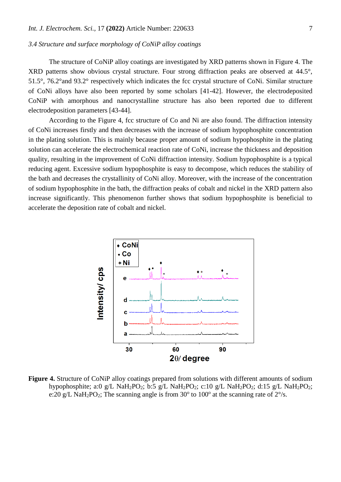## *3.4 Structure and surface morphology of CoNiP alloy coatings*

The structure of CoNiP alloy coatings are investigated by XRD patterns shown in Figure 4. The XRD patterns show obvious crystal structure. Four strong diffraction peaks are observed at 44.5°, 51.5°, 76.2°and 93.2° respectively which indicates the fcc crystal structure of CoNi. Similar structure of CoNi alloys have also been reported by some scholars [41-42]. However, the electrodeposited CoNiP with amorphous and nanocrystalline structure has also been reported due to different electrodeposition parameters [43-44].

According to the Figure 4, fcc structure of Co and Ni are also found. The diffraction intensity of CoNi increases firstly and then decreases with the increase of sodium hypophosphite concentration in the plating solution. This is mainly because proper amount of sodium hypophosphite in the plating solution can accelerate the electrochemical reaction rate of CoNi, increase the thickness and deposition quality, resulting in the improvement of CoNi diffraction intensity. Sodium hypophosphite is a typical reducing agent. Excessive sodium hypophosphite is easy to decompose, which reduces the stability of the bath and decreases the crystallinity of CoNi alloy. Moreover, with the increase of the concentration of sodium hypophosphite in the bath, the diffraction peaks of cobalt and nickel in the XRD pattern also increase significantly. This phenomenon further shows that sodium hypophosphite is beneficial to accelerate the deposition rate of cobalt and nickel.



**Figure 4.** Structure of CoNiP alloy coatings prepared from solutions with different amounts of sodium hypophosphite; a:0 g/L NaH<sub>2</sub>PO<sub>2</sub>; b:5 g/L NaH<sub>2</sub>PO<sub>2</sub>; c:10 g/L NaH<sub>2</sub>PO<sub>2</sub>; d:15 g/L NaH<sub>2</sub>PO<sub>2</sub>; e:20 g/L NaH<sub>2</sub>PO<sub>2</sub>; The scanning angle is from 30 $^{\circ}$  to 100 $^{\circ}$  at the scanning rate of 2 $^{\circ}/s$ .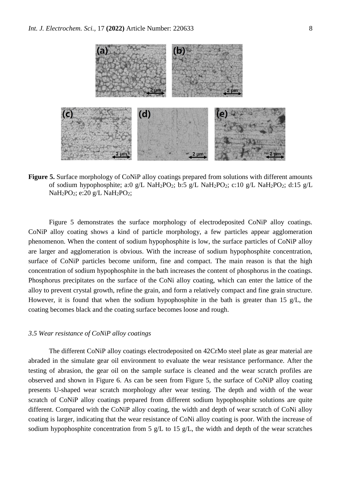

**Figure 5.** Surface morphology of CoNiP alloy coatings prepared from solutions with different amounts of sodium hypophosphite; a:0 g/L NaH<sub>2</sub>PO<sub>2</sub>; b:5 g/L NaH<sub>2</sub>PO<sub>2</sub>; c:10 g/L NaH<sub>2</sub>PO<sub>2</sub>; d:15 g/L  $NaH<sub>2</sub>PO<sub>2</sub>$ ; e:20 g/L NaH<sub>2</sub>PO<sub>2</sub>;

Figure 5 demonstrates the surface morphology of electrodeposited CoNiP alloy coatings. CoNiP alloy coating shows a kind of particle morphology, a few particles appear agglomeration phenomenon. When the content of sodium hypophosphite is low, the surface particles of CoNiP alloy are larger and agglomeration is obvious. With the increase of sodium hypophosphite concentration, surface of CoNiP particles become uniform, fine and compact. The main reason is that the high concentration of sodium hypophosphite in the bath increases the content of phosphorus in the coatings. Phosphorus precipitates on the surface of the CoNi alloy coating, which can enter the lattice of the alloy to prevent crystal growth, refine the grain, and form a relatively compact and fine grain structure. However, it is found that when the sodium hypophosphite in the bath is greater than 15  $g/L$ , the coating becomes black and the coating surface becomes loose and rough.

## *3.5 Wear resistance of CoNiP alloy coatings*

The different CoNiP alloy coatings electrodeposited on 42CrMo steel plate as gear material are abraded in the simulate gear oil environment to evaluate the wear resistance performance. After the testing of abrasion, the gear oil on the sample surface is cleaned and the wear scratch profiles are observed and shown in Figure 6. As can be seen from Figure 5, the surface of CoNiP alloy coating presents U-shaped wear scratch morphology after wear testing. The depth and width of the wear scratch of CoNiP alloy coatings prepared from different sodium hypophosphite solutions are quite different. Compared with the CoNiP alloy coating, the width and depth of wear scratch of CoNi alloy coating is larger, indicating that the wear resistance of CoNi alloy coating is poor. With the increase of sodium hypophosphite concentration from 5  $g/L$  to 15  $g/L$ , the width and depth of the wear scratches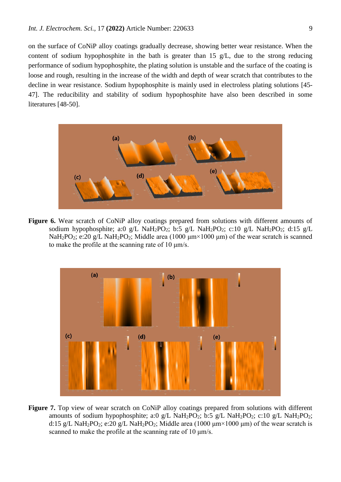on the surface of CoNiP alloy coatings gradually decrease, showing better wear resistance. When the content of sodium hypophosphite in the bath is greater than 15 g/L, due to the strong reducing performance of sodium hypophosphite, the plating solution is unstable and the surface of the coating is loose and rough, resulting in the increase of the width and depth of wear scratch that contributes to the decline in wear resistance. Sodium hypophosphite is mainly used in electroless plating solutions [45- 47]. The reducibility and stability of sodium hypophosphite have also been described in some literatures [48-50].



**Figure 6.** Wear scratch of CoNiP alloy coatings prepared from solutions with different amounts of sodium hypophosphite; a:0 g/L NaH<sub>2</sub>PO<sub>2</sub>; b:5 g/L NaH<sub>2</sub>PO<sub>2</sub>; c:10 g/L NaH<sub>2</sub>PO<sub>2</sub>; d:15 g/L NaH<sub>2</sub>PO<sub>2</sub>; e:20 g/L NaH<sub>2</sub>PO<sub>2</sub>; Middle area (1000  $\mu$ m×1000  $\mu$ m) of the wear scratch is scanned to make the profile at the scanning rate of 10  $\mu$ m/s.



**Figure 7.** Top view of wear scratch on CoNiP alloy coatings prepared from solutions with different amounts of sodium hypophosphite; a:0 g/L NaH<sub>2</sub>PO<sub>2</sub>; b:5 g/L NaH<sub>2</sub>PO<sub>2</sub>; c:10 g/L NaH<sub>2</sub>PO<sub>2</sub>; d:15 g/L NaH<sub>2</sub>PO<sub>2</sub>; e:20 g/L NaH<sub>2</sub>PO<sub>2</sub>; Middle area (1000  $\mu$ m × 1000  $\mu$ m) of the wear scratch is scanned to make the profile at the scanning rate of 10 μm/s.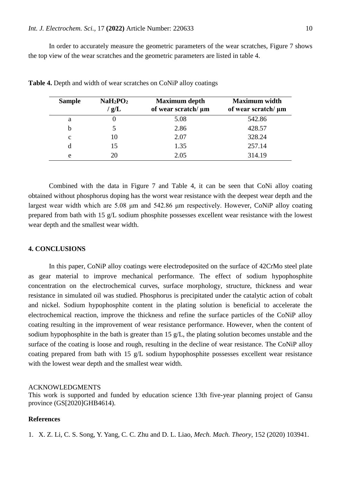In order to accurately measure the geometric parameters of the wear scratches, Figure 7 shows the top view of the wear scratches and the geometric parameters are listed in table 4.

| <b>Sample</b> | NaH <sub>2</sub> PO <sub>2</sub><br>$\frac{g}{L}$ | <b>Maximum</b> depth<br>of wear scratch/ µm | <b>Maximum</b> width<br>of wear scratch/ $\mu$ m |
|---------------|---------------------------------------------------|---------------------------------------------|--------------------------------------------------|
| a             |                                                   | 5.08                                        | 542.86                                           |
| b             |                                                   | 2.86                                        | 428.57                                           |
| $\mathbf c$   | 10                                                | 2.07                                        | 328.24                                           |
| d             | 15                                                | 1.35                                        | 257.14                                           |
| e             | 20                                                | 2.05                                        | 314.19                                           |

**Table 4.** Depth and width of wear scratches on CoNiP alloy coatings

Combined with the data in Figure 7 and Table 4, it can be seen that CoNi alloy coating obtained without phosphorus doping has the worst wear resistance with the deepest wear depth and the largest wear width which are 5.08 μm and 542.86 μm respectively. However, CoNiP alloy coating prepared from bath with 15 g/L sodium phosphite possesses excellent wear resistance with the lowest wear depth and the smallest wear width.

## **4. CONCLUSIONS**

In this paper, CoNiP alloy coatings were electrodeposited on the surface of 42CrMo steel plate as gear material to improve mechanical performance. The effect of sodium hypophosphite concentration on the electrochemical curves, surface morphology, structure, thickness and wear resistance in simulated oil was studied. Phosphorus is precipitated under the catalytic action of cobalt and nickel. Sodium hypophosphite content in the plating solution is beneficial to accelerate the electrochemical reaction, improve the thickness and refine the surface particles of the CoNiP alloy coating resulting in the improvement of wear resistance performance. However, when the content of sodium hypophosphite in the bath is greater than 15 g/L, the plating solution becomes unstable and the surface of the coating is loose and rough, resulting in the decline of wear resistance. The CoNiP alloy coating prepared from bath with 15 g/L sodium hypophosphite possesses excellent wear resistance with the lowest wear depth and the smallest wear width.

#### ACKNOWLEDGMENTS

This work is supported and funded by education science 13th five-year planning project of Gansu province (GS[2020]GHB4614).

## **References**

1. X. Z. Li, C. S. Song, Y. Yang, C. C. Zhu and D. L. Liao, *Mech. Mach. Theory*, 152 (2020) 103941.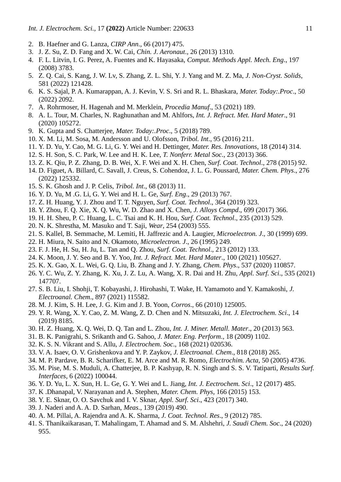- 2. B. Haefner and G. Lanza, *CIRP Ann*., 66 (2017) 475.
- 3. J. Z. Su, Z. D. Fang and X. W. Cai, *Chin. J. Aeronaut*., 26 (2013) 1310.
- 4. F. L. Litvin, I. G. Perez, A. Fuentes and K. Hayasaka, *Comput. Methods Appl. Mech. Eng*., 197 (2008) 3783.
- 5. Z. Q. Cai, S. Kang, J. W. Lv, S. Zhang, Z. L. Shi, Y. J. Yang and M. Z. Ma, *J. Non-Cryst. Solids*, 581 (2022) 121428.
- 6. K. S. Sajal, P. A. Kumarappan, A. J. Kevin, V. S. Sri and R. L. Bhaskara, *Mater. Today:.Proc*., 50 (2022) 2092.
- 7. A. Rohrmoser, H. Hagenah and M. Merklein, *Procedia Manuf*., 53 (2021) 189.
- 8. A. L. Tour, M. Charles, N. Raghunathan and M. Ahlfors, *Int. J. Refract. Met. Hard Mater*., 91 (2020) 105272.
- 9. K. Gupta and S. Chatterjee, *Mater. Today:.Proc*., 5 (2018) 789.
- 10. X. M. Li, M. Sosa, M. Andersson and U. Olofsson, *Tribol. Int*., 95 (2016) 211.
- 11. Y. D. Yu, Y. Cao, M. G. Li, G. Y. Wei and H. Dettinger, *Mater. Res. Innovations*, 18 (2014) 314.
- 12. S. H. Son, S. C. Park, W. Lee and H. K. Lee, *T. Nonferr. Metal Soc*., 23 (2013) 366.
- 13. Z. K. Qiu, P. Z. Zhang, D. B. Wei, X. F. Wei and X. H. Chen, *Surf. Coat. Technol*., 278 (2015) 92.
- 14. D. Figuet, A. Billard, C. Savall, J. Creus, S. Cohendoz, J. L. G. Poussard, *Mater. Chem. Phys*., 276 (2022) 125332.
- 15. S. K. Ghosh and J. P. Celis, *Tribol. Int*., 68 (2013) 11.
- 16. Y. D. Yu, M .G. Li, G. Y. Wei and H. L. Ge, *Surf. Eng*., 29 (2013) 767.
- 17. Z. H. Huang, Y. J. Zhou and T. T. Nguyen, *Surf. Coat. Technol*., 364 (2019) 323.
- 18. Y. Zhou, F. Q. Xie, X. Q. Wu, W. D. Zhao and X. Chen, *J. Alloys Compd*., 699 (2017) 366.
- 19. H. H. Sheu, P. C. Huang, L. C. Tsai and K. H. Hou, *Surf. Coat. Technol*., 235 (2013) 529.
- 20. N. K. Shrestha, M. Masuko and T. Saji, *Wear*, 254 (2003) 555.
- 21. S. Kallel, B. Semmache, M. Lemiti, H. Jaffrezic and A. Laugier, *Microelectron. J*., 30 (1999) 699.
- 22. H. Miura, N. Saito and N. Okamoto, *Microelectron. J*., 26 (1995) 249.
- 23. F. J. He, H. Su, H. Ju, L. Tan and Q. Zhou, *Surf. Coat. Technol*., 213 (2012) 133.
- 24. K. Moon, J. Y. Seo and B. Y. Yoo, *Int. J. Refract. Met. Hard Mater*., 100 (2021) 105627.
- 25. K. X. Gao, X. L. Wei, G. Q. Liu, B. Zhang and J. Y. Zhang, *Chem. Phys*., 537 (2020) 110857.
- 26. Y. C. Wu, Z. Y. Zhang, K. Xu, J. Z. Lu, A. Wang, X. R. Dai and H. Zhu, *Appl. Surf. Sci*., 535 (2021) 147707.
- 27. S. B. Liu, I. Shohji, T. Kobayashi, J. Hirohashi, T. Wake, H. Yamamoto and Y. Kamakoshi, *J. Electroanal. Chem*., 897 (2021) 115582.
- 28. M. J. Kim, S. H. Lee, J. G. Kim and J. B. Yoon, *Corros*., 66 (2010) 125005.
- 29. Y. R. Wang, X. Y. Cao, Z. M. Wang, Z. D. Chen and N. Mitsuzaki, *Int. J. Electrochem. Sci*., 14 (2019) 8185.
- 30. H. Z. Huang, X. Q. Wei, D. Q. Tan and L. Zhou, *Int. J. Miner. Metall. Mater*., 20 (2013) 563.
- 31. B. K. Panigrahi, S. Srikanth and G. Sahoo, *J. Mater. Eng. Perform*., 18 (2009) 1102.
- 32. K. S. N. Vikrant and S. Allu, *J. Electrochem. Soc*., 168 (2021) 020536.
- 33. V. A. Isaev, O. V. Grishenkova and Y. P. Zaykov, *J. Electroanal. Chem*., 818 (2018) 265.
- 34. M. P. Pardave, B. R. Scharifker, E. M. Arce and M. R. Romo, *Electrochim. Acta*, 50 (2005) 4736.
- 35. M. Pise, M. S. Muduli, A. Chatterjee, B. P. Kashyap, R. N. Singh and S. S. V. Tatiparti, *Results Surf. Interfaces*, 6 (2022) 100044.
- 36. Y. D. Yu, L. X. Sun, H. L. Ge, G. Y. Wei and L. Jiang, *Int. J. Eectrochem. Sci*., 12 (2017) 485.
- 37. K .Dhanapal, V. Narayanan and A. Stephen, *Mater. Chem. Phys*, 166 (2015) 153.
- 38. Y. E. Sknar, O. O. Savchuk and I. V. Sknar, *Appl. Surf. Sci*., 423 (2017) 340.
- 39. J. Naderi and A. A. D. Sarhan, *Meas*., 139 (2019) 490.
- 40. A. M. Pillai, A. Rajendra and A. K. Sharma*, J. Coat. Technol. Res*., 9 (2012) 785.
- 41. S. Thanikaikarasan, T. Mahalingam, T. Ahamad and S. M. Alshehri, *J. Saudi Chem. Soc*., 24 (2020) 955.